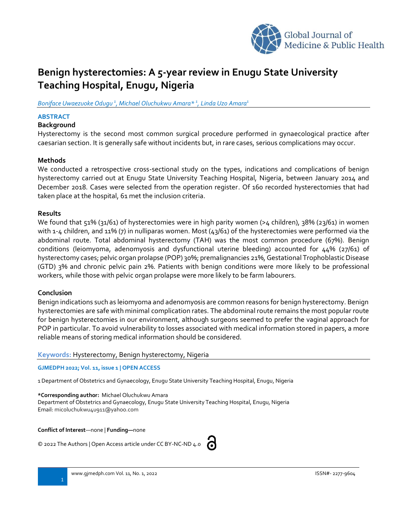

# **Benign hysterectomies: A 5-year review in Enugu State University Teaching Hospital, Enugu, Nigeria**

#### *Boniface Uwaezuoke Odugu <sup>1</sup> , Michael Oluchukwu Amara\* 1 , Linda Uzo Amara 1*

# **ABSTRACT**

# **Background**

Hysterectomy is the second most common surgical procedure performed in gynaecological practice after caesarian section. It is generally safe without incidents but, in rare cases, serious complications may occur.

#### **Methods**

We conducted a retrospective cross-sectional study on the types, indications and complications of benign hysterectomy carried out at Enugu State University Teaching Hospital, Nigeria, between January 2014 and December 2018. Cases were selected from the operation register. Of 160 recorded hysterectomies that had taken place at the hospital, 61 met the inclusion criteria.

#### **Results**

We found that 51% (31/61) of hysterectomies were in high parity women (>4 children), 38% (23/61) in women with 1-4 children, and 11% (7) in nulliparas women. Most (43/61) of the hysterectomies were performed via the abdominal route. Total abdominal hysterectomy (TAH) was the most common procedure (67%). Benign conditions (leiomyoma, adenomyosis and dysfunctional uterine bleeding) accounted for 44% (27/61) of hysterectomy cases; pelvic organ prolapse (POP) 30%; premalignancies 21%, Gestational Trophoblastic Disease (GTD) 3% and chronic pelvic pain 2%. Patients with benign conditions were more likely to be professional workers, while those with pelvic organ prolapse were more likely to be farm labourers.

## **Conclusion**

Benign indications such as leiomyoma and adenomyosis are common reasons for benign hysterectomy. Benign hysterectomies are safe with minimal complication rates. The abdominal route remains the most popular route for benign hysterectomies in our environment, although surgeons seemed to prefer the vaginal approach for POP in particular. To avoid vulnerability to losses associated with medical information stored in papers, a more reliable means of storing medical information should be considered.

**Keywords:** Hysterectomy, Benign hysterectomy, Nigeria

**GJMEDPH 2022; Vol. 11, issue 1 | OPEN ACCESS**

1 Department of Obstetrics and Gynaecology, Enugu State University Teaching Hospital, Enugu, Nigeria

#### **\*Corresponding author:** Michael Oluchukwu Amara

Department of Obstetrics and Gynaecology, Enugu State University Teaching Hospital, Enugu, Nigeria Email: micoluchukwu4u911@yahoo.com

**Conflict of Interest**—none | **Funding—**none

© 2022 The Authors | Open Access article under CC BY-NC-ND 4.0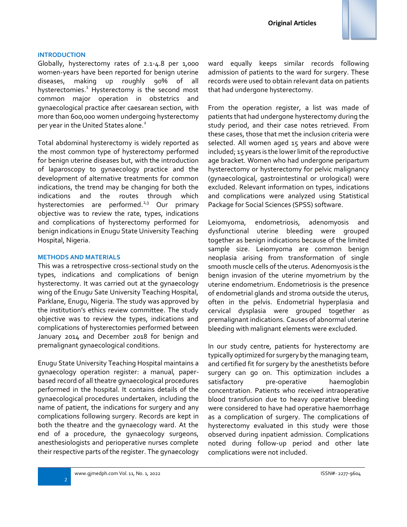

#### **INTRODUCTION**

Globally, hysterectomy rates of 2.1-4.8 per 1,000 women-years have been reported for benign uterine diseases, making up roughly 90% of all hysterectomies.<sup>1</sup> Hysterectomy is the second most common major operation in obstetrics and gynaecological practice after caesarean section, with more than 600,000 women undergoing hysterectomy per year in the United States alone.<sup>2</sup>

Total abdominal hysterectomy is widely reported as the most common type of hysterectomy performed for benign uterine diseases but, with the introduction of laparoscopy to gynaecology practice and the development of alternative treatments for common indications, the trend may be changing for both the indications and the routes through which hysterectomies are performed.<sup>2,3</sup> Our primary objective was to review the rate, types, indications and complications of hysterectomy performed for benign indications in Enugu State University Teaching Hospital, Nigeria.

#### **METHODS AND MATERIALS**

This was a retrospective cross-sectional study on the types, indications and complications of benign hysterectomy. It was carried out at the gynaecology wing of the Enugu Sate University Teaching Hospital, Parklane, Enugu, Nigeria. The study was approved by the institution's ethics review committee. The study objective was to review the types, indications and complications of hysterectomies performed between January 2014 and December 2018 for benign and premalignant gynaecological conditions.

Enugu State University Teaching Hospital maintains a gynaecology operation register: a manual, paperbased record of all theatre gynaecological procedures performed in the hospital. It contains details of the gynaecological procedures undertaken, including the name of patient, the indications for surgery and any complications following surgery. Records are kept in both the theatre and the gynaecology ward. At the end of a procedure, the gynaecology surgeons, anesthesiologists and perioperative nurses complete their respective parts of the register. The gynaecology

ward equally keeps similar records following admission of patients to the ward for surgery. These records were used to obtain relevant data on patients that had undergone hysterectomy.

From the operation register, a list was made of patients that had undergone hysterectomy during the study period, and their case notes retrieved. From these cases, those that met the inclusion criteria were selected. All women aged 15 years and above were included; 15 years is the lower limit of the reproductive age bracket. Women who had undergone peripartum hysterectomy or hysterectomy for pelvic malignancy (gynaecological, gastrointestinal or urological) were excluded. Relevant information on types, indications and complications were analyzed using Statistical Package for Social Sciences (SPSS) software.

Leiomyoma, endometriosis, adenomyosis and dysfunctional uterine bleeding were grouped together as benign indications because of the limited sample size. Leiomyoma are common benign neoplasia arising from transformation of single smooth muscle cells of the uterus. Adenomyosis is the benign invasion of the uterine myometrium by the uterine endometrium. Endometriosis is the presence of endometrial glands and stroma outside the uterus, often in the pelvis. Endometrial hyperplasia and cervical dysplasia were grouped together as premalignant indications. Causes of abnormal uterine bleeding with malignant elements were excluded.

In our study centre, patients for hysterectomy are typically optimized for surgery by the managing team, and certified fit for surgery by the anesthetists before surgery can go on. This optimization includes a satisfactory pre-operative haemoglobin concentration. Patients who received intraoperative blood transfusion due to heavy operative bleeding were considered to have had operative haemorrhage as a complication of surgery. The complications of hysterectomy evaluated in this study were those observed during inpatient admission. Complications noted during follow-up period and other late complications were not included.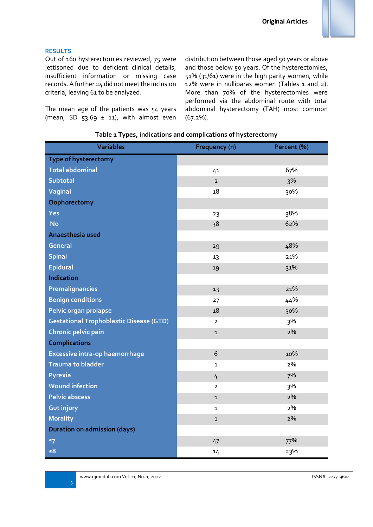# **RESULTS**

Out of 160 hysterectomies reviewed, 75 were jettisoned due to deficient clinical details, insufficient information or missing case records. A further 24 did not meet the inclusion criteria, leaving 61 to be analyzed.

The mean age of the patients was 54 years (mean, SD  $53.69 \pm 11$ ), with almost even distribution between those aged 50 years or above and those below 5o years. Of the hysterectomies, 51% (31/61) were in the high parity women, while 12% were in nulliparas women (Tables 1 and 2). More than 70% of the hysterectomies were performed via the abdominal route with total abdominal hysterectomy (TAH) most common (67.2%).

|  |  |  |  | Table 1 Types, indications and complications of hysterectomy |
|--|--|--|--|--------------------------------------------------------------|
|--|--|--|--|--------------------------------------------------------------|

| <b>Variables</b>                               | Frequency (n)  | Percent (%) |  |
|------------------------------------------------|----------------|-------------|--|
| Type of hysterectomy                           |                |             |  |
| <b>Total abdominal</b>                         | 41             | 67%         |  |
| <b>Subtotal</b>                                | $\overline{2}$ | 3%          |  |
| <b>Vaginal</b>                                 | 18             | 30%         |  |
| Oophorectomy                                   |                |             |  |
| Yes                                            | 23             | 38%         |  |
| <b>No</b>                                      | 38             | 62%         |  |
| Anaesthesia used                               |                |             |  |
| <b>General</b>                                 | 29             | 48%         |  |
| <b>Spinal</b>                                  | 13             | 21%         |  |
| <b>Epidural</b>                                | 19             | 31%         |  |
| <b>Indication</b>                              |                |             |  |
| Premalignancies                                | 13             | 21%         |  |
| <b>Benign conditions</b>                       | 27             | 44%         |  |
| Pelvic organ prolapse                          | 18             | 30%         |  |
| <b>Gestational Trophoblastic Disease (GTD)</b> | $\overline{2}$ | 3%          |  |
| <b>Chronic pelvic pain</b>                     | $\mathbf{1}$   | 2%          |  |
| <b>Complications</b>                           |                |             |  |
| Excessive intra-op haemorrhage                 | 6              | 10%         |  |
| <b>Trauma to bladder</b>                       | $\mathbf{1}$   | 2%          |  |
| Pyrexia                                        | 4              | 7%          |  |
| <b>Wound infection</b>                         | $\overline{2}$ | 3%          |  |
| <b>Pelvic abscess</b>                          | $\mathbf{1}$   | 2%          |  |
| <b>Gut injury</b>                              | 1              | 2%          |  |
| <b>Morality</b>                                | $\mathbf{1}$   | 2%          |  |
| <b>Duration on admission (days)</b>            |                |             |  |
| $\leq 7$                                       | 47             | 77%         |  |
| $\geq 8$                                       | 14             | 23%         |  |

3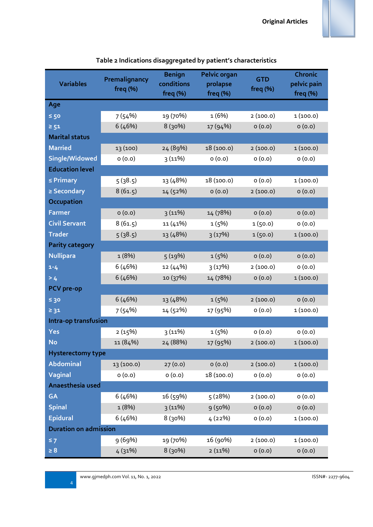| <b>Variables</b>             | Premalignancy<br>freq (%) | <b>Benign</b><br>conditions<br>freq (%) | <b>Pelvic organ</b><br>prolapse<br>freq $(% )$ | <b>GTD</b><br>freq $(% )$ | <b>Chronic</b><br>pelvic pain<br>freq $(\%)$ |  |
|------------------------------|---------------------------|-----------------------------------------|------------------------------------------------|---------------------------|----------------------------------------------|--|
| Age                          |                           |                                         |                                                |                           |                                              |  |
| $\leq 50$                    | 7(54%)                    | 19 (70%)                                | 1(6%)                                          | 2(100.0)                  | 1(100.0)                                     |  |
| $\geq 51$                    | 6(46%)                    | 8(30%)                                  | 17 (94%)                                       | 0(0.0)                    | 0(0.0)                                       |  |
| <b>Marital status</b>        |                           |                                         |                                                |                           |                                              |  |
| <b>Married</b>               | 13 (100)                  | 24 (89%)                                | 18 (100.0)                                     | 2(100.0)                  | 1(100.0)                                     |  |
| Single/Widowed               | 0(0.0)                    | 3(11%)                                  | 0(0.0)                                         | 0(0.0)                    | 0(0.0)                                       |  |
| <b>Education level</b>       |                           |                                         |                                                |                           |                                              |  |
| $\leq$ Primary               | 5(38.5)                   | 13 (48%)                                | 18 (100.0)                                     | 0(0.0)                    | 1(100.0)                                     |  |
| $\geq$ Secondary             | 8(61.5)                   | 14 (52%)                                | 0(0.0)                                         | 2(100.0)                  | 0(0.0)                                       |  |
| Occupation                   |                           |                                         |                                                |                           |                                              |  |
| <b>Farmer</b>                | 0(0.0)                    | 3(11%)                                  | 14 (78%)                                       | 0(0.0)                    | 0(0.0)                                       |  |
| <b>Civil Servant</b>         | 8(61.5)                   | 11 (41%)                                | 1(5%)                                          | 1(50.0)                   | 0(0.0)                                       |  |
| <b>Trader</b>                | 5(38.5)                   | 13 (48%)                                | 3(17%)                                         | 1(50.0)                   | 1(100.0)                                     |  |
| <b>Parity category</b>       |                           |                                         |                                                |                           |                                              |  |
| <b>Nullipara</b>             | 1(8%)                     | 5(19%)                                  | 1(5%)                                          | 0(0.0)                    | 0(0.0)                                       |  |
| $1 - 4$                      | 6(46%)                    | 12(44%)                                 | 3(17%)                                         | 2(100.0)                  | O(0.0)                                       |  |
| > 4                          | 6(46%)                    | 10 (37%)                                | 14 (78%)                                       | 0(0.0)                    | 1(100.0)                                     |  |
| <b>PCV</b> pre-op            |                           |                                         |                                                |                           |                                              |  |
| $\leq 30$                    | 6(46%)                    | 13 (48%)                                | 1(5%)                                          | 2(100.0)                  | 0(0.0)                                       |  |
| $\geq$ 31                    | 7(54%)                    | 14 (52%)                                | 17 (95%)                                       | 0(0.0)                    | 1(100.0)                                     |  |
| Intra-op transfusion         |                           |                                         |                                                |                           |                                              |  |
| <b>Yes</b>                   | 2(15%)                    | 3(11%)                                  | 1(5%)                                          | 0(0.0)                    | 0(0.0)                                       |  |
| <b>No</b>                    | 11 (84%)                  | 24 (88%)                                | 17 (95%)                                       | 2(100.0)                  | 1(100.0)                                     |  |
| <b>Hysterectomy type</b>     |                           |                                         |                                                |                           |                                              |  |
| <b>Abdominal</b>             | 13 (100.0)                | 27(0.0)                                 | O(0.0)                                         | 2(100.0)                  | 1(100.0)                                     |  |
| <b>Vaginal</b>               | 0(0.0)                    | 0(0.0)                                  | 18 (100.0)                                     | 0(0.0)                    | (0.0)                                        |  |
| Anaesthesia used             |                           |                                         |                                                |                           |                                              |  |
| <b>GA</b>                    | 6(46%)                    | 16 (59%)                                | 5(28%)                                         | 2(100.0)                  | 0(0.0)                                       |  |
| <b>Spinal</b>                | 1(8%)                     | 3(11%)                                  | 9(50%)                                         | 0(0.0)                    | O(0.0)                                       |  |
| <b>Epidural</b>              | 6(46%)                    | 8 (30%)                                 | 4(22%)                                         | 0(0.0)                    | 1(100.0)                                     |  |
| <b>Duration on admission</b> |                           |                                         |                                                |                           |                                              |  |
| $\leq 7$                     | 9 (69%)                   | 19 (70%)                                | 16 (90%)                                       | 2(100.0)                  | 1(100.0)                                     |  |
| $\geq 8$                     | 4(31%)                    | 8 (30%)                                 | 2(11%)                                         | 0(0.0)                    | (0.0)                                        |  |

# **Table 2 Indications disaggregated by patient's characteristics**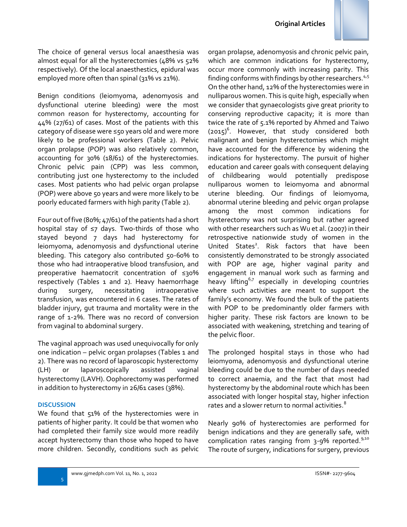

The choice of general versus local anaesthesia was almost equal for all the hysterectomies (48% vs 52% respectively). Of the local anaesthestics, epidural was employed more often than spinal (31% vs 21%).

Benign conditions (leiomyoma, adenomyosis and dysfunctional uterine bleeding) were the most common reason for hysterectomy, accounting for 44% (27/61) of cases. Most of the patients with this category of disease were ≤50 years old and were more likely to be professional workers (Table 2). Pelvic organ prolapse (POP) was also relatively common, accounting for 30% (18/61) of the hysterectomies. Chronic pelvic pain (CPP) was less common, contributing just one hysterectomy to the included cases. Most patients who had pelvic organ prolapse (POP) were above 50 years and were more likely to be poorly educated farmers with high parity (Table 2).

Four out of five (80%; 47/61) of the patients had a short hospital stay of ≤7 days. Two-thirds of those who stayed beyond 7 days had hysterectomy for leiomyoma, adenomyosis and dysfunctional uterine bleeding. This category also contributed 50-60% to those who had intraoperative blood transfusion, and preoperative haematocrit concentration of ≤30% respectively (Tables 1 and 2). Heavy haemorrhage during surgery, necessitating intraoperative transfusion, was encountered in 6 cases. The rates of bladder injury, gut trauma and mortality were in the range of 1-2%. There was no record of conversion from vaginal to abdominal surgery.

The vaginal approach was used unequivocally for only one indication – pelvic organ prolapses (Tables 1 and 2). There was no record of laparoscopic hysterectomy (LH) or laparoscopically assisted vaginal hysterectomy (LAVH). Oophorectomy was performed in addition to hysterectomy in 26/61 cases (38%).

#### **DISCUSSION**

5

We found that 51% of the hysterectomies were in patients of higher parity. It could be that women who had completed their family size would more readily accept hysterectomy than those who hoped to have more children. Secondly, conditions such as pelvic organ prolapse, adenomyosis and chronic pelvic pain, which are common indications for hysterectomy, occur more commonly with increasing parity. This finding conforms with findings by other researchers.<sup>4,5</sup> On the other hand, 12% of the hysterectomies were in nulliparous women. This is quite high, especially when we consider that gynaecologists give great priority to conserving reproductive capacity; it is more than twice the rate of 5.1% reported by Ahmed and Taiwo  $(2015)^6$ . However, that study considered both malignant and benign hysterectomies which might have accounted for the difference by widening the indications for hysterectomy. The pursuit of higher education and career goals with consequent delaying of childbearing would potentially predispose nulliparous women to leiomyoma and abnormal uterine bleeding. Our findings of leiomyoma, abnormal uterine bleeding and pelvic organ prolapse among the most common indications for hysterectomy was not surprising but rather agreed with other researchers such as Wu et al. (2007) in their retrospective nationwide study of women in the United States<sup>2</sup>. Risk factors that have been consistently demonstrated to be strongly associated with POP are age, higher vaginal parity and engagement in manual work such as farming and heavy lifting<sup>6,7</sup> especially in developing countries where such activities are meant to support the family's economy. We found the bulk of the patients with POP to be predominantly older farmers with higher parity. These risk factors are known to be associated with weakening, stretching and tearing of the pelvic floor.

The prolonged hospital stays in those who had leiomyoma, adenomyosis and dysfunctional uterine bleeding could be due to the number of days needed to correct anaemia, and the fact that most had hysterectomy by the abdominal route which has been associated with longer hospital stay, higher infection rates and a slower return to normal activities.<sup>8</sup>

Nearly 90% of hysterectomies are performed for benign indications and they are generally safe, with complication rates ranging from 3-9% reported.<sup>9,10</sup> The route of surgery, indications for surgery, previous